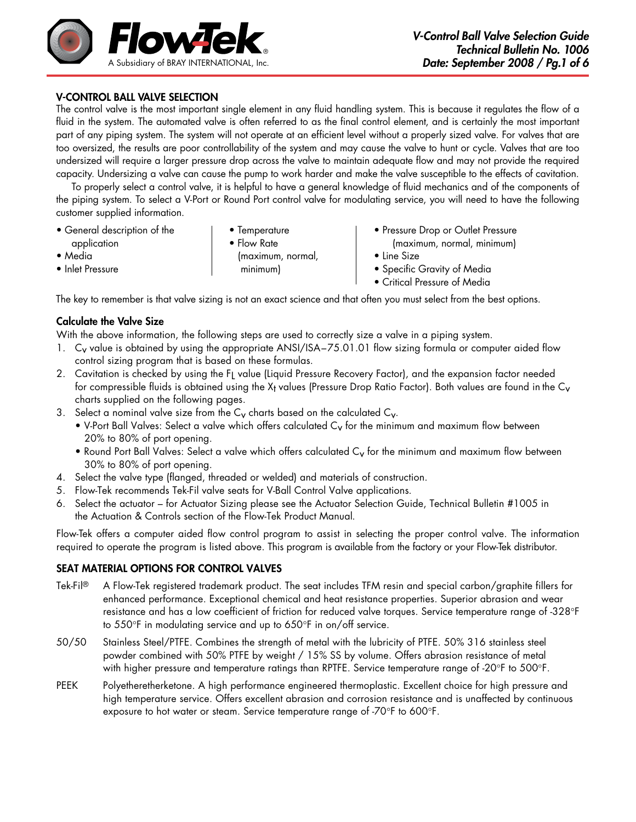

# V-Control Ball valve Selection

The control valve is the most important single element in any fluid handling system. This is because it regulates the flow of a fluid in the system. The automated valve is often referred to as the final control element, and is certainly the most important part of any piping system. The system will not operate at an efficient level without a properly sized valve. For valves that are too oversized, the results are poor controllability of the system and may cause the valve to hunt or cycle. Valves that are too undersized will require a larger pressure drop across the valve to maintain adequate flow and may not provide the required capacity. Undersizing a valve can cause the pump to work harder and make the valve susceptible to the effects of cavitation.

To properly select a control valve, it is helpful to have a general knowledge of fluid mechanics and of the components of the piping system. To select a V-Port or Round Port control valve for modulating service, you will need to have the following customer supplied information.

- application Flow Rate (maximum, normal, minimum)
	-
- General description of the  $\qquad \qquad | \qquad \bullet \text{ Temperature} \qquad \qquad \bullet \text{ Pressure Drop or Outlet Pressure}$ 
	-
- 
- Media (maximum, normal, Line Size
- Inlet Pressure minimum) Specific Gravity of Media
	- Critical Pressure of Media

The key to remember is that valve sizing is not an exact science and that often you must select from the best options.

# Calculate the Valve Size

With the above information, the following steps are used to correctly size a valve in a piping system.

- 1. Cy value is obtained by using the appropriate ANSI/ISA-75.01.01 flow sizing formula or computer aided flow control sizing program that is based on these formulas.
- 2. Cavitation is checked by using the FL value (Liquid Pressure Recovery Factor), and the expansion factor needed for compressible fluids is obtained using the  $X_t$  values (Pressure Drop Ratio Factor). Both values are found in the  $C_v$ charts supplied on the following pages.
- 3. Select a nominal valve size from the  $C_V$  charts based on the calculated  $C_V$ .
	- V-Port Ball Valves: Select a valve which offers calculated C<sub>v</sub> for the minimum and maximum flow between 20% to 80% of port opening.
	- Round Port Ball Valves: Select a valve which offers calculated  $C_{\rm v}$  for the minimum and maximum flow between 30% to 80% of port opening.
- 4. Select the valve type (flanged, threaded or welded) and materials of construction.
- 5. Flow-Tek recommends Tek-Fil valve seats for V-Ball Control Valve applications.
- 6. Select the actuator for Actuator Sizing please see the Actuator Selection Guide, Technical Bulletin #1005 in the Actuation & Controls section of the Flow-Tek Product Manual.

Flow-Tek offers a computer aided flow control program to assist in selecting the proper control valve. The information required to operate the program is listed above. This program is available from the factory or your Flow-Tek distributor.

## SEAT MATERIAL OPTIONS FOR CONTROL VALVES

- Tek-Fil® A Flow-Tek registered trademark product. The seat includes TFM resin and special carbon/graphite fillers for enhanced performance. Exceptional chemical and heat resistance properties. Superior abrasion and wear resistance and has a low coefficient of friction for reduced valve torques. Service temperature range of -328°F to 550°F in modulating service and up to 650°F in on/off service.
- 50/50 Stainless Steel/PTFE. Combines the strength of metal with the lubricity of PTFE. 50% 316 stainless steel powder combined with 50% PTFE by weight / 15% SS by volume. Offers abrasion resistance of metal with higher pressure and temperature ratings than RPTFE. Service temperature range of -20°F to 500°F.
- PEEK Polyetheretherketone. A high performance engineered thermoplastic. Excellent choice for high pressure and high temperature service. Offers excellent abrasion and corrosion resistance and is unaffected by continuous exposure to hot water or steam. Service temperature range of -70°F to 600°F.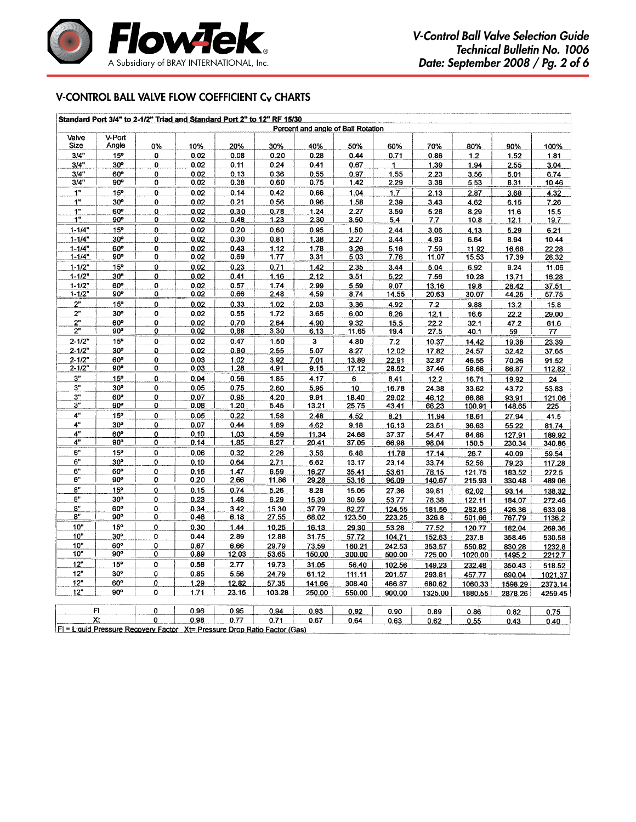

## V-Control ball valve flow coefficient Cv Charts

|                |                                    |        | Standard Port 3/4" to 2-1/2" Triad and Standard Port 2" to 12" RF 15/30 |       |              |        |             |               |                |               |                |                |  |  |
|----------------|------------------------------------|--------|-------------------------------------------------------------------------|-------|--------------|--------|-------------|---------------|----------------|---------------|----------------|----------------|--|--|
|                | Percent and angle of Ball Rotation |        |                                                                         |       |              |        |             |               |                |               |                |                |  |  |
| Valve<br>Size  | V-Port<br>Angle                    | 0%     | 10%                                                                     | 20%   | 30%          | 40%    | 50%         | 60%           | 70%            | 80%           | 90%            | 100%           |  |  |
| 3/4"           | 15°                                | 0      | 0.02                                                                    | 0.08  | 0.20         | 0.28   | 0.44        | 0.71          | 0.86           | 1.2           | 1.52           | 1.81           |  |  |
| 3/4"           | 30°                                | 0      | 0.02                                                                    | 0.11  | 0.24         | 0.41   | 0.67        | 1             | 1.39           | 1.94          | 2.55           | 3.04           |  |  |
| 3/4"           | 60°                                | 0      | 0.02                                                                    | 0.13  | 0.36         | 0.55   | 0.97        | 1,55          | 2.23           | 3.56          | 5.01           | 6,74           |  |  |
| 3/4"           | 90°                                | 0      | 0.02                                                                    | 0.38  | 0.60         | 0.75   | 1.42        | 2.29          | 3.38           | 5.53          | 8.31           | 10.46          |  |  |
| 1 <sup>n</sup> | 15°                                | 0      | 0.02                                                                    | 0.14  | 0.42         | 0.66   | 1.04        | 1.7           | 2.13           | 2.87          | 3.68           | 4.32           |  |  |
| 1 <sup>n</sup> | 30 <sup>o</sup>                    | 0      | 0.02                                                                    | 0.21  | 0.56         | 0.96   | 1.58        | 2.39          | 3.43           | 4.62          | 6.15           | 7.26           |  |  |
| 1"             | 60°                                | 0      | 0.02                                                                    | 0.30  | 0.78         | 1.24   | 2.27        | 3.59          | 5.28           | 8.29          | 11.6           | 15.5           |  |  |
| 1 <sup>0</sup> | 90°                                | 0      | 0.02                                                                    | 0.48  | 1.23         | 2.30   | 3.50        | 5.4           | 7.7            | 10.8          | 12.1           | 19.7           |  |  |
| $1 - 1/4"$     | 15°                                | 0      | 0.02                                                                    | 0.20  | 0.60         | 0.95   | 1.50        | 2.44          | 3.06           | 4.13          | 5.29           | 6.21           |  |  |
| $1 - 1/4"$     | $30^{\circ}$                       | 0      | 0.02                                                                    | 0.30  | 0.81         | 1.38   | 2.27        | 3.44          | 4.93           | 6.64          | 8.94           | 10.44          |  |  |
| $1 - 1/4"$     | 60°                                | o      | 0.02                                                                    | 0.43  | 1.12         | 1.78   | 3.26        | 5.16          | 7.59           | 11.92         | 16.68          | 22.28          |  |  |
| $1 - 1/4$      | 90°                                | 0      | 0.02                                                                    | 0.69  | 1.77         | 3.31   | 503         | 7.76          | 11.07          | 15.53         | 17.39          | 28.32          |  |  |
| $1 - 1/2"$     | 15°                                | 0      | 0.02                                                                    | 0.23  | 0.71         | 1.42   | 2.35        | 3.44          | 5.04           | 6.92          | 9.24           | 11.06          |  |  |
| $1 - 1/2"$     | 30 <sup>o</sup>                    | 0      | 0.02                                                                    | 0.41  | 1.16         | 2.12   | 3.51        | 5.22          | 7.56           | 10.28         | 13.71          |                |  |  |
| $1 - 1/2"$     | $60^{\circ}$                       | 0      | 0.02                                                                    | 0.57  | 1.74         | 2.99   |             |               |                |               |                | 16.28          |  |  |
| $1 - 1/2"$     | 90°                                | 0      | 0.02                                                                    | 0.66  | 2.48         | 4,59   | 5.59<br>874 | 9.07<br>14.55 | 13.16<br>20.63 | 19.8<br>30.07 | 28.42<br>44.25 | 37.51<br>57.75 |  |  |
|                |                                    |        |                                                                         |       |              |        |             |               |                |               |                |                |  |  |
| 2"<br>2"       | 15°                                | 0      | 0.02                                                                    | 0.33  | 1.02         | 2.03   | 3.36        | 492           | 7.2            | 9.88          | 13.2           | 15.8           |  |  |
| 2"             | $30^{\circ}$                       | 0      | 0.02                                                                    | 0.55  | 1.72         | 3.65   | 6.00        | 8.26          | 12.1           | 16.6          | 22.2           | 29.00          |  |  |
| 2 <sup>n</sup> | 60°<br>90°                         | 0<br>0 | 0.02                                                                    | 0.70  | 2.64<br>3.30 | 4.90   | 9.32        | 15.5          | 22.2           | 32.1          | 47.2           | 61.6           |  |  |
|                |                                    |        | 0.02                                                                    | 0.88  |              | 6.13   | 11.65       | 19.4          | 27.5           | 40.1          | 59             | 77             |  |  |
| $2 - 1/2"$     | 15 <sup>o</sup>                    | 0      | 0.02                                                                    | 0.47  | 1.50         | з      | 4.80        | 7.2           | 10.37          | 14.42         | 19.38          | 23.39          |  |  |
| $2 - 1/2"$     | 30°                                | 0      | 0.02                                                                    | 0.80  | 2.55         | 5.07   | 8.27        | 12.02         | 17.82          | 24.57         | 32.42          | 37.65          |  |  |
| $2 - 1/2"$     | 60°                                | 0      | 0.03                                                                    | 1.02  | 3.92         | 7.01   | 13.89       | 22.91         | 32.87          | 46.55         | 70.26          | 91.52          |  |  |
| $2 - 1/2"$     | 90°                                | 0      | 0.03                                                                    | 1.28  | 4.91         | 9.15   | 17.12       | 28.52         | 37.46          | 58.68         | 86.87          | 112.82         |  |  |
| 3"             | 15°                                | 0      | 0.04                                                                    | 0.56  | 1.85         | 4.17   | 6           | 8.41          | 12.2           | 16.71         | 19.92          | 24             |  |  |
| 3"             | $30^{\circ}$                       | 0      | 0.05                                                                    | 0.75  | 2.60         | 5.95   | 10          | 16.78         | 24.38          | 33.62         | 43.72          | 53.83          |  |  |
| 3"             | 60°                                | 0      | 0.07                                                                    | 0.95  | 4.20         | 9.91   | 18.40       | 29.02         | 46.12          | 66.88         | 93.91          | 121.06         |  |  |
| 3"             | 90°                                | 0      | 0.08                                                                    | 1.20  | 5.45         | 13.21  | 25.75       | 43.41         | 66.23          | 100.91        | 148.65         | 225            |  |  |
| 4"             | 15°                                | 0      | 0.05                                                                    | 0.22  | 1.58         | 2.48   | 4.52        | 8.21          | 11.94          | 18.61         | 27.94          | 41.5           |  |  |
| 4"             | 30 <sup>o</sup>                    | 0      | 0.07                                                                    | 0.44  | 1.89         | 4.62   | 9.18        | 16.13         | 23.51          | 36.63         | 55.22          | 81.74          |  |  |
| 4"             | 60°                                | 0      | 0.10                                                                    | 1.03  | 4.59         | 11.34  | 24.68       | 37.37         | 54.47          | 84.86         | 127.91         | 189.92         |  |  |
| 4"             | $90^\circ$                         | 0      | 0.14                                                                    | 1.85  | 8.27         | 20.41  | 37.05       | 66.98         | 98.04          | 150.5         | 230.34         | 340.86         |  |  |
| 6"             | 15°                                | 0      | 0.06                                                                    | 0.32  | 2.26         | 3,56   | 6.48        | 11.78         | 17.14          | 26.7          | 40.09          | 59.54          |  |  |
| 6"             | 30 <sup>o</sup>                    | 0      | 0.10                                                                    | 0.64  | 2.71         | 6.62   | 13.17       | 23.14         | 33.74          | 52.56         | 79.23          | 117.28         |  |  |
| 6"             | 60°                                | 0      | 0.15                                                                    | 1.47  | 6.59         | 16.27  | 35.41       | 53.61         | 78.15          | 121.75        | 183.52         | 272.5          |  |  |
| 6"             | 90°                                | 0      | 0.20                                                                    | 2.66  | 11.86        | 29.28  | 53.16       | 96.09         | 140.67         | 215.93        | 330.48         | 489.06         |  |  |
| 8"             | 15 <sup>o</sup>                    | 0      | 0.15                                                                    | 0.74  | 5.26         | 8.28   | 15.05       | 27.36         | 39.81          | 62.02         | 93.14          | 138.32         |  |  |
| 8"             | 30°                                | 0      | 0.23                                                                    | 1.48  | 6.29         | 15.39  | 30.59       | 53.77         | 78.38          | 122.11        | 184.07         | 272.46         |  |  |
| 8"             | 60°                                | 0      | 0.34                                                                    | 3.42  | 15.30        | 37.79  | 82.27       | 124.55        | 181.56         | 282.85        | 426.36         | 633.08         |  |  |
| ${\bf 8}^n$    | 90°                                | 0      | 0.46                                                                    | 6.18  | 27.55        | 68.02  | 123.50      | 223.25        | 326.8          | 501.66        | 767.79         | 1136.2         |  |  |
| 10"            | 15°                                | 0      | 0.30                                                                    | 1.44  | 10.25        | 16.13  | 29.30       | 53.28         | 77.52          | 120.77        | 182.04         | 269.36         |  |  |
| 10"            | $30^{\circ}$                       | 0      | 0.44                                                                    | 2.89  | 12.88        | 31.75  | 57.72       | 104.71        | 152.63         | 237.8         | 358.46         | 530.58         |  |  |
| 10"            | 60°                                | 0      | 0.67                                                                    | 6.66  | 29.79        | 73.59  | 160.21      | 242.53        | 353.57         | 550.82        | 830.28         | 1232.8         |  |  |
| 10"            | 90°                                | 0      | 0.89                                                                    | 12.03 | 53.65        | 150.00 | 300.00      | 500.00        | 725.00         | 1020.00       | 1495.2         | 2212.7         |  |  |
| 12"            | 15 <sup>o</sup>                    | 0      | 0.58                                                                    | 2.77  | 19.73        | 31.05  | 56.40       | 102.56        | 149.23         | 232.48        | 350.43         | 518.52         |  |  |
| 12"            | $30^{\circ}$                       | 0      | 0.85                                                                    | 5.56  | 24.79        | 61.12  | 111.11      | 201.57        | 293.81         | 457.77        | 690.04         | 1021.37        |  |  |
| 12"            | $60^\circ$                         | 0      | 1.29                                                                    | 12.82 | 57.35        | 141.66 | 308.40      | 466.87        | 680.62         | 1060.33       | 1598.29        | 2373.14        |  |  |
| 12"            | 90°                                | 0      | 1.71                                                                    | 23.16 | 103.28       | 250.00 | 550.00      | 900.00        | 1325.00        | 1880.55       | 2878.26        | 4259.45        |  |  |
|                |                                    |        |                                                                         |       |              |        |             |               |                |               |                |                |  |  |
|                | FI                                 | 0      | 0.96                                                                    | 0.95  | 0.94         | 0.93   | 0.92        | 0.90          | 0.89           | 0.86          | 0.82           | 0.75           |  |  |
|                | Xt                                 | 0      | 0.98                                                                    | 0.77  | 0.71         | 0.67   | 0.64        | 0.63          | 0.62           | 0.55          | 0.43           | 0.40           |  |  |
|                |                                    |        |                                                                         |       |              |        |             |               |                |               |                |                |  |  |

FI = Liquid Pressure Recovery Factor Xt= Pressure Drop Ratio Factor (Gas)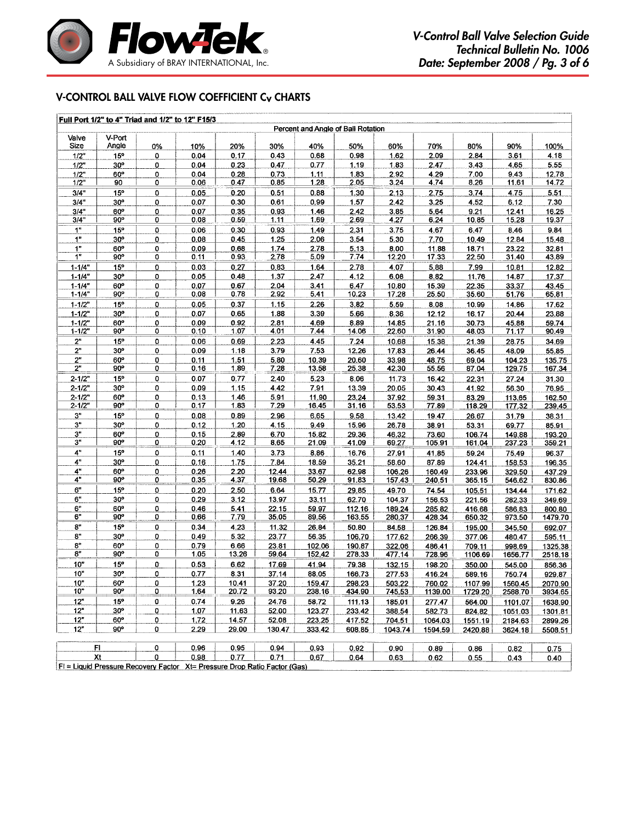

## V-Control ball valve flow coefficient Cv Charts

|                          |                 |                | Full Port 1/2" to 4" Triad and 1/2" to 12" F15/3 |                |                     | Percent and Angle of Ball Rotation |                  |                  |                   |                   |                    |                    |
|--------------------------|-----------------|----------------|--------------------------------------------------|----------------|---------------------|------------------------------------|------------------|------------------|-------------------|-------------------|--------------------|--------------------|
| Valve                    | V-Port          |                |                                                  |                |                     |                                    |                  |                  |                   |                   |                    |                    |
| Size                     | Angle           | 0%             | 10%                                              | 20%            | 30%                 | 40%                                | 50%              | 60%              | 70%               | 80%               | 90%                | 100%               |
| $1/2$ "                  | 15 <sup>o</sup> | $\mathbf 0$    | 0.04                                             | 0.17           | 0.43                | 0.68                               | 0.98             | 1.62             | 2.09              | 2.84              | 3.61               | 4.18               |
| 1/2"                     | 30 <sup>o</sup> | 0              | 0.04                                             | 0.23           | 0.47                | 0.77                               | 1.19             | 1.83             | 2.47              | 3.43              | 4.65               | 5.55               |
| $1/2$ "                  | 60°             | 0              | 0.04                                             | 0.28           | 0.73                | 1.11                               | 1.83             | 2.92             | 4.29              | 7.00              | 9.43               | 12.78              |
| 1/2"                     | 90              | 0              | 0.06                                             | 0.47           | 0.85                | 1.28                               | 2.05             | 3.24             | 4.74              | 8.26              | 11.61              | 14.72              |
| 3/4"                     | 15°             | 0              | 0.05                                             | 0.20           | 0.51                | 0.88                               | 1.30             | 2.13             | 2.75              | 3.74              | 4.75               | 5.51               |
| 3/4"                     | $30^{\circ}$    | 0              | 0.07                                             | 0.30           | 0.61                | 0.99                               | 1.57             | 2.42             | 3.25              | 4.52              | 6.12               | 7.30               |
| 3/4"<br>3/4"             | 60°<br>90°      | 0<br>0         | 0.07<br>0.08                                     | 0.35<br>0.59   | 0.93<br><u>1.11</u> | 1.46<br>1.69                       | 2.42<br>2.69     | 3.85<br>4.27     | 5.64<br>6.24      | 9.21<br>10.85     | 12.41<br>15.28     | 16.25<br>19.37     |
| 1"                       | $15^\circ$      |                |                                                  |                |                     |                                    |                  |                  |                   |                   |                    | 9.84               |
| 1 <sup>H</sup>           | 30 <sup>o</sup> | $\pmb{0}$<br>0 | 0.06<br>0.08                                     | 0.30<br>0.45   | 0.93<br>1.25        | 1.49<br>2.06                       | 2.31<br>3.54     | 3.75<br>5.30     | 4.67<br>7.70      | 6.47<br>10.49     | 8.46<br>12.84      |                    |
| 1 <sup>n</sup>           | 60°             | $\mathbf 0$    | 0.09                                             | 0.68           | 1.74                | 2.78                               | 5.13             | 8.00             | 11.88             | 18.71             | 23.22              | 15.48<br>32.81     |
| 1 <sup>n</sup>           | $90^{\circ}$    | 0              | 0.11                                             | 0.93           | 2.78                | 5.09                               | 7.74             | <u>12.20</u>     | 17.33             | 22.50             | 31.40              | 43.89              |
| $1 - 1/4"$               | 15 <sup>o</sup> | $\mathbf 0$    | 0.03                                             | 0.27           | 0.83                | 1.64                               | 2.78             | 4.07             | 5.88              | 7.99              | 10.81              | 12.82              |
| $1 - 1/4$                | 30 <sup>o</sup> | 0              | 0.05                                             | 0.48           | 1.37                | 2.47                               | 4.12             | 6.08             | 8.82              | 11.76             | 14.87              | 17.37              |
| $1 - 1/4$                | 60°             | $\mathbf 0$    | 0.07                                             | 0.67           | 2.04                | 3.41                               | 6.47             | 10.80            | 15.39             | 22.35             | 33.37              | 43.45              |
| $1 - 1/4$                | $90^\circ$      | 0              | 0.08                                             | 0.78           | 2.92                | 5.41                               | 10.23            | 17.28            | 25.50             | 35.60             | 51.76              | 65.81              |
| $1 - 1/2"$               | 15°             | 0              | 0.05                                             | 0.37           | 1.15                | 2.26                               | 3,82             | 5.59             | 8.08              | 10.99             | 14.86              | 17.62              |
| $1 - 1/2"$               | 30 <sup>o</sup> | $\overline{0}$ | 0.07                                             | 0.65           | 1.88                | 3.39                               | 5.66             | 8.36             | 12.12             | 16.17             | 20.44              | 23.88              |
| $1 - 1/2"$               | 60°             | 0              | 0.09                                             | 0.92           | 2.81                | 4.69                               | 8.89             | 14.85            | 21.16             | 30.73             | 45.88              | 59.74              |
| $1 - 1/2"$               | 90°             | 0              | 0.10                                             | 1.07           | 4.01                | 7.44                               | 14.06            | 22.60            | 31.90             | 48.03             | <u>71.17</u>       | 90.49              |
| 2"                       | 15°             | 0              | 0.06                                             | 0.69           | 2.23                | 4.45                               | 7.24             | 10.68            | 15.38             | 21.39             | 28.75              | 34.69              |
| 2"                       | $30^{\circ}$    | 0              | 0.09                                             | 1.18           | 3.79                | 7.53                               | 12.26            | 17.83            | 26.44             | 36.45             | 48.09              | 55,85              |
| 2"                       | 60°             | 0              | 0.11                                             | 1.51           | 5.80                | 10.39                              | 20.60            | 33.98            | 48.75             | 69.04             | 104.23             | 135.75             |
| 2"                       | 90°             | 0              | 0.16                                             | 1.89           | 7.28                | 13.58                              | 25.38            | 42.30            | 55.56             | 87.04             | 129.75             | 167.34             |
| $2 - 1/2"$               | 15 <sup>o</sup> | 0              | 0.07                                             | 0.77           | 2.40                | 5.23                               | 8.06             | 11.73            | 16.42             | 22.31             | 27.24              | 31.30              |
| $2 - 1/2"$               | $30^{\circ}$    | 0              | 0.09                                             | 1.15           | 4.42                | 7.91                               | 13.39            | 20.05            | 30.43             | 41.92             | 56.30              | 76.95              |
| $2 - 1/2"$<br>$2 - 1/2"$ | 60°<br>90°      | 0<br>0         | 0.13<br>0.17                                     | 1.46<br>1.83   | 5.91<br>7.29        | 11.90<br>16.45                     | 23.24<br>31.16   | 37.92<br>53.53   | 59.31<br>77.89    | 83.29<br>118.29   | 113.65             | 162.50             |
| 3"                       | 15°             | 0              | 0.08                                             | 0.89           | 2.96                | 6.65                               | 9.58             | 13.42            | 19.47             |                   | 177.32             | 239.45             |
| 3"                       | 30 <sup>o</sup> | $\pmb{0}$      | 0.12                                             | 1.20           | 4.15                | 9.49                               | 15.96            | 26.78            | 38.91             | 26.67<br>53.31    | 31.79<br>69.77     | 38.31<br>85.91     |
| 3"                       | 60°             | $\bf{0}$       | 0.15                                             | 2.89           | 6.70                | 15.82                              | 29.36            | 46.32            | 73.60             | 106.74            | 149.88             | 193.20             |
| 3 <sup>n</sup>           | 90°             | $\overline{0}$ | 0.20                                             | 4.12           | 8.65                | 21.09                              | 41.09            | 69.27            | 105.91            | 161.04            | 237.23             | 359.21             |
| $4"$                     | 15 <sup>o</sup> | 0              | 0.11                                             | 1.40           | 3.73                | 8.86                               | 16.76            | 27.91            | 41.85             | 59.24             | 75.49              | 96.37              |
| 4"                       | $30^{\circ}$    | $\bf{0}$       | 0.16                                             | 1.75           | 7.84                | 18.59                              | 35.21            | 58.60            | 87.89             | 124.41            | 158.53             | 196.35             |
| 4"                       | 60°             | 0              | 0.26                                             | 2.20           | 12.44               | 33.67                              | 62.98            | 106.26           | 160.49            | 233.96            | 329.50             | 437.29             |
| 4"                       | 90°             | 0              | 0.35                                             | 4.37           | 19.68               | 50.29                              | 91.83            | 157.43           | 240.51            | 365.15            | 546.62             | 830.86             |
| 6"                       | 15°             | $\pmb{0}$      | 0.20                                             | 2.50           | 6.64                | 15.77                              | 29.85            | 49.70            | 74.54             | 105.51            | 134.44             | 171.62             |
| 6"                       | 30°             | 0              | 0.29                                             | 3.12           | 13.97               | 33.11                              | 62.70            | 104.37           | 156.53            | 221.56            | 282.33             | 349.69             |
| 6"                       | 60°             | $\mathbf 0$    | 0.46                                             | 5.41           | 22.15               | 59.97                              | 112.16           | 189.24           | 285.82            | 416.68            | 586.83             | 800.80             |
| 6"                       | $90^\circ$      | 0              | 0.66                                             | 7.79           | 35.05               | 89.56                              | 163.55           | 280.37           | 428.34            | 650.32            | 973.50             | 1479.70            |
| 8"                       | 15°             | o              | 0.34                                             | 4.23           | 11.32               | 26.84                              | 50.80            | 84.58            | 126.84            | 195,00            | 345.50             | 692.07             |
| 8"                       | 30 <sup>o</sup> | 0              | 0.49                                             | 5.32           | 23.77               | 56.35                              | 106.70           | 177.62           | 266.39            | 377.06            | 480.47             | 595.11             |
| 8 <sup>n</sup>           | 60°             | 0              | 0.79                                             | 6.66           | 23.81               | 102.06                             | 190.87           | 322.06           | 486.41            | 709.11            | 998.69             | 1325.38            |
| 8"                       | 90°             | 0              | 1.05                                             | 13.26          | 59.64               | 152.42                             | 278.33           | 477.14           | 728.96            | 1106.69           | 1656.77            | 2518.18            |
| 10"                      | 15°             | 0              | 0.53                                             | 6.62           | 17.69               | 41.94                              | 79.38            | 132.15           | 198.20            | 350.00            | 545.00             | 856.36             |
| 10"                      | $30^{\circ}$    | 0              | 0.77                                             | 8.31           | 37.14               | 88.05                              | 166.73           | 277.53           | 416.24            | 589.16            | 750.74             | 929.87             |
| 10"<br>10"               | 60°<br>90°      | 0<br>0         | 1.23<br>1.64                                     | 10.41<br>20.72 | 37.20<br>93.20      | 159.47<br>238.16                   | 298.23<br>434.90 | 503.22<br>745.53 | 760.02            | 1107.99           | 1560.45<br>2588.70 | 2070.90            |
| 12"                      | 15°             |                | 0.74                                             |                |                     |                                    |                  |                  | 1139.00           | 1729.20           |                    | 3934.65            |
| 12"                      | $30^{\circ}$    | 0<br>0         | 1.07                                             | 9.26<br>11.63  | 24.76<br>52.00      | 58.72<br>123.27                    | 111.13<br>233.42 | 185.01           | 277.47            | 564.00            | 1101.07            | 1638.90            |
| 12"                      | $60^{\circ}$    | 0              | 1.72                                             | 14.57          | 52.08               | 223.25                             | 417.52           | 388.54<br>704.51 | 582.73<br>1064.03 | 824.82<br>1551.19 | 1051.03            | 1301.81<br>2899.26 |
| 12"                      | $90^\circ$      | 0              | 2.29                                             | 29.00          | 130.47              | 333.42                             | 608.85           | 1043.74          | 1594.59           | 2420.88           | 2184.63<br>3624.18 | 5508.51            |
|                          |                 |                |                                                  |                |                     |                                    |                  |                  |                   |                   |                    |                    |
|                          | FL.             | 0              | 0.96                                             | 0.95           | 0.94                | 0.93                               | 0.92             | 0.90             | 0.89              | 0.86              | 0.82               | 0.75               |
|                          | Xt              | 0              | 0.98                                             | 0.77           | 0.71                | 0.67                               | 0.64             | 0.63             | 0.62              | 0.55              | 0.43               | 0.40               |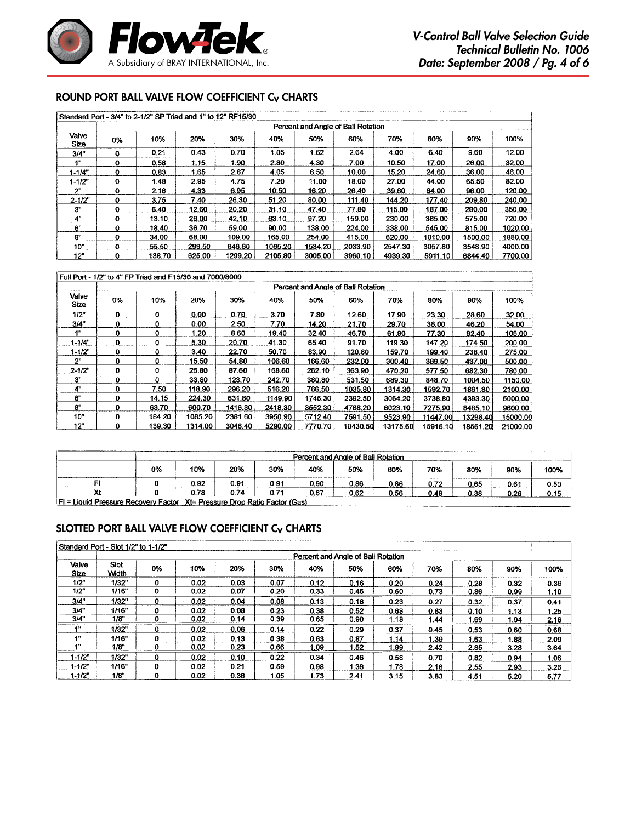

# Round Port ball valve flow coefficient Cv Charts

|                      |                                    | Standard Port - 3/4" to 2-1/2" SP Triad and 1" to 12" RF15/30 |        |         |         |         |         |         |         |         |         |  |  |  |
|----------------------|------------------------------------|---------------------------------------------------------------|--------|---------|---------|---------|---------|---------|---------|---------|---------|--|--|--|
|                      | Percent and Angle of Ball Rotation |                                                               |        |         |         |         |         |         |         |         |         |  |  |  |
| Valve<br><b>Size</b> | 0%                                 | 10%                                                           | 20%    | 30%     | 40%     | 50%     | 60%     | 70%     | 80%     | 90%     | 100%    |  |  |  |
| 3/4"                 | 0                                  | 0.21                                                          | 0.43   | 0.70    | 1.05    | 1.62    | 2.64    | 4.00    | 6.40    | 9.60    | 12.00   |  |  |  |
| 1"                   | 0                                  | 0.58                                                          | 1.15   | 1.90    | 2.80    | 4.30    | 7.00    | 10.50   | 17.00   | 26.00   | 32.00   |  |  |  |
| $1 - 1/4"$           | o                                  | 0.83                                                          | 1.65   | 2.67    | 4.05    | 6.50    | 10.00   | 15.20   | 24.60   | 36.00   | 46.00   |  |  |  |
| $1 - 1/2"$           | 0                                  | 1.48                                                          | 2.95   | 4.75    | 7.20    | 11.00   | 18.00   | 27.00   | 44.00   | 65.50   | 82.00   |  |  |  |
| 2"                   | 0                                  | 2.16                                                          | 4.33   | 6.95    | 10.50   | 16.20   | 26.40   | 39.60   | 64.00   | 96.00   | 120.00  |  |  |  |
| $2 - 1/2"$           | $\mathbf{0}$                       | 3.75                                                          | 7.40   | 26.30   | 51.20   | 80.00   | 111.40  | 144.20  | 177.40  | 209.80  | 240.00  |  |  |  |
| 3"                   | 0                                  | 6.40                                                          | 12.60  | 20.20   | 31.10   | 47.40   | 77.80   | 115.00  | 187.00  | 280.00  | 350.00  |  |  |  |
| 4"                   | 0                                  | 13.10                                                         | 26.00  | 42.10   | 63.10   | 97.20   | 159.00  | 230.00  | 385.00  | 575.00  | 720.00  |  |  |  |
| 6"                   | 0                                  | 18.40                                                         | 36.70  | 59.00   | 90.00   | 138.00  | 224.00  | 338.00  | 545.00  | 815.00  | 1020.00 |  |  |  |
| 8"                   | 0                                  | 34.00                                                         | 68.00  | 109.00  | 165.00  | 254.00  | 415.00  | 620.00  | 1010.00 | 1500.00 | 1880.00 |  |  |  |
| 10"                  | O                                  | 55.50                                                         | 299.50 | 646.60  | 1065.20 | 1534.20 | 2033.90 | 2547.30 | 3057.80 | 3548.90 | 4000.00 |  |  |  |
| 12"                  | 0                                  | 138.70                                                        | 625.00 | 1299.20 | 2105.80 | 3005.00 | 3960.10 | 4939.30 | 5911.10 | 6844.40 | 7700.00 |  |  |  |

|                      |                                    | Full Port - 1/2" to 4" FP Triad and F15/30 and 7000/8000 |         |         |         |         |          |          |          |          |          |  |  |  |
|----------------------|------------------------------------|----------------------------------------------------------|---------|---------|---------|---------|----------|----------|----------|----------|----------|--|--|--|
|                      | Percent and Angle of Ball Rotation |                                                          |         |         |         |         |          |          |          |          |          |  |  |  |
| Valve<br><b>Size</b> | 0%                                 | 10%                                                      | 20%     | 30%     | 40%     | 50%     | 60%      | 70%      | 80%      | 90%      | 100%     |  |  |  |
| 1/2"                 | 0                                  | o                                                        | 0.00    | 0.70    | 3.70    | 7.80    | 12.60    | 17.90    | 23.30    | 28.60    | 32.00    |  |  |  |
| 3/4"                 | o                                  | 0                                                        | 0.00    | 2.50    | 7.70    | 14.20   | 21.70    | 29.70    | 38.00    | 46.20    | 54.00    |  |  |  |
| 48                   | 0                                  | 0                                                        | 1.20    | 8.60    | 19.40   | 32.40   | 46.70    | 61.90    | 77.30    | 92.40    | 105.00   |  |  |  |
| $1 - 1/4"$           | 0                                  | 0                                                        | 5.30    | 20.70   | 41.30   | 65.40   | 91.70    | 119.30   | 147.20   | 174.50   | 200.00   |  |  |  |
| $1 - 1/2$            | 0                                  | 0                                                        | 3.40    | 22.70   | 50.70   | 83.90   | 120.80   | 159.70   | 199.40   | 238.40   | 275,00   |  |  |  |
| 2 <sup>n</sup>       | ٥                                  | 0                                                        | 15.50   | 54.80   | 106.60  | 166.60  | 232.00   | 300.40   | 369.50   | 437.00   | 500.00   |  |  |  |
| $2 - 1/2"$           | 0                                  | 0                                                        | 25.80   | 87.60   | 168.60  | 262.10  | 363.90   | 470.20   | 577.50   | 682.30   | 780.00   |  |  |  |
| 3"                   | 0                                  | ٥                                                        | 33.80   | 123.70  | 242.70  | 380.80  | 531.50   | 689.30   | 848.70   | 1004.50  | 1150.00  |  |  |  |
| 4"                   | 0                                  | 7.50                                                     | 118.90  | 296.20  | 516.20  | 766.50  | 1035.80  | 1314.30  | 1592.70  | 1861.80  | 2100.00  |  |  |  |
| 6"                   | 0                                  | 14.15                                                    | 224.30  | 631.80  | 1149.90 | 1746.30 | 2392.50  | 3064.20  | 3738.80  | 4393.30  | 5000.00  |  |  |  |
| 8"                   | 0                                  | 63.70                                                    | 600.70  | 1416.30 | 2418.30 | 3552.30 | 4768.20  | 6023.10  | 7275.90  | 8485.10  | 9600.00  |  |  |  |
| 10"                  | 0                                  | 184.20                                                   | 1085.20 | 2381.60 | 3950.90 | 5712.40 | 7591.50  | 9523.90  | 11447.00 | 13298.40 | 15000.00 |  |  |  |
| 12"                  | 0                                  | 139.30                                                   | 1314.00 | 3046.40 | 5290.00 | 7770.70 | 10430.50 | 13175.60 | 15916.10 | 18561.20 | 21000.00 |  |  |  |

|    | Percent and Angle of Ball Rotation |      |      |      |      |      |      |      |      |      |  |  |  |  |
|----|------------------------------------|------|------|------|------|------|------|------|------|------|--|--|--|--|
| 0% | 10%                                | 20%  | 30%  | 40%  | 50%  | 60%  | 70%  | 80%  | 90%  | 100% |  |  |  |  |
|    | 0.92                               | 0.91 | 0.91 | 0.90 | 0.86 | 0.86 | 0.72 | 0.65 | 0.61 | 0.50 |  |  |  |  |
|    | 178                                | 0.74 | 0.71 | 0.67 | 0.62 | 0.56 | 0.49 | 0.38 | 0.26 | 0.15 |  |  |  |  |

## SLOTTED Port ball valve flow coefficient Cv Charts

|                | Standard Port - Slot 1/2" to 1-1/2" |    |      |      |      |      |      |      |      |      |      |      |  |  |
|----------------|-------------------------------------|----|------|------|------|------|------|------|------|------|------|------|--|--|
|                | Percent and Angle of Ball Rotation  |    |      |      |      |      |      |      |      |      |      |      |  |  |
| Valve<br>Size  | Slot<br><b>Width</b>                | 0% | 10%  | 20%  | 30%  | 40%  | 50%  | 60%  | 70%  | 80%  | 90%  | 100% |  |  |
| 1/2"           | 1/32"                               | 0  | 0.02 | 0.03 | 0.07 | 0.12 | 0.16 | 0.20 | 0.24 | 0.28 | 0.32 | 0.36 |  |  |
| 1/2"           | 1/16"                               | 0  | 0.02 | 0.07 | 0.20 | 0.33 | 0.46 | 0.60 | 0.73 | 0.86 | 0.99 | 1.10 |  |  |
| 3/4"           | 1/32"                               | 0  | 0.02 | 0.04 | 0.08 | 0.13 | 0.18 | 0.23 | 0.27 | 0.32 | 0.37 | 0.41 |  |  |
| 3/4"           | 1/16"                               | 0  | 0.02 | 0.08 | 0.23 | 0.38 | 0.52 | 0.68 | 0.83 | 0.10 | 1.13 | 1.25 |  |  |
| 3/4"           | 1/8"                                | 0  | 0.02 | 0.14 | 0.39 | 0.65 | 0.90 | 1.18 | 1.44 | 1.69 | 1.94 | 2.16 |  |  |
| 4*             | 1/32"                               | o  | 0.02 | 0.06 | 0.14 | 0.22 | 0.29 | 0.37 | 0.45 | 0.53 | 0.60 | 0.68 |  |  |
| 4×             | 1/16"                               | 0  | 0.02 | 0.13 | 0.38 | 0.63 | 0.87 | 1.14 | 1.39 | 1.63 | 1.88 | 2.09 |  |  |
| 1 <sup>n</sup> | 1/8"                                | 0  | 0.02 | 0.23 | 0.66 | 1.09 | 1.52 | 1.99 | 2.42 | 2.85 | 3.28 | 3.64 |  |  |
| $1 - 1/2"$     | 1/32"                               | 0  | 0.02 | 0.10 | 0.22 | 0.34 | 0.46 | 0.58 | 0.70 | 0.82 | 0.94 | 1.06 |  |  |
| $1 - 1/2"$     | 1/16"                               | 0  | 0.02 | 0.21 | 0.59 | 0.98 | 1.36 | 1.78 | 2.16 | 2.55 | 2.93 | 3.26 |  |  |
| $1 - 1/2"$     | 1/8"                                | ο  | 0.02 | 0.36 | 1.05 | 1.73 | 2.41 | 3.15 | 3.83 | 4.51 | 5.20 | 5.77 |  |  |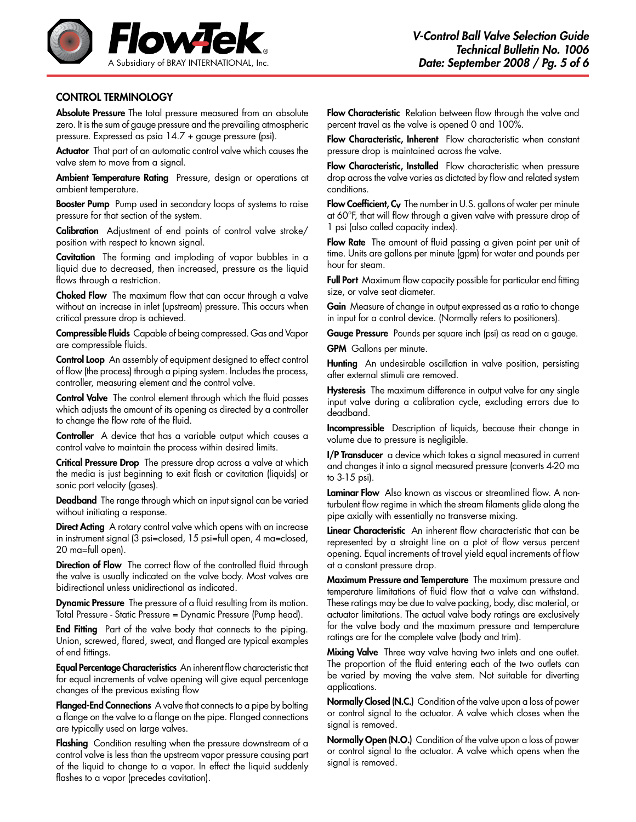

#### CONTROL TERMINOLOGY

Absolute Pressure The total pressure measured from an absolute zero. It is the sum of gauge pressure and the prevailing atmospheric pressure. Expressed as psia 14.7 + gauge pressure (psi).

Actuator That part of an automatic control valve which causes the valve stem to move from a signal.

Ambient Temperature Rating Pressure, design or operations at ambient temperature.

**Booster Pump** Pump used in secondary loops of systems to raise pressure for that section of the system.

Calibration Adjustment of end points of control valve stroke/ position with respect to known signal.

Cavitation The forming and imploding of vapor bubbles in a liquid due to decreased, then increased, pressure as the liquid flows through a restriction.

Choked Flow The maximum flow that can occur through a valve without an increase in inlet (upstream) pressure. This occurs when critical pressure drop is achieved.

Compressible Fluids Capable of being compressed. Gas and Vapor are compressible fluids.

Control Loop An assembly of equipment designed to effect control of flow (the process) through a piping system. Includes the process, controller, measuring element and the control valve.

Control Valve The control element through which the fluid passes which adjusts the amount of its opening as directed by a controller to change the flow rate of the fluid.

Controller A device that has a variable output which causes a control valve to maintain the process within desired limits.

Critical Pressure Drop The pressure drop across a valve at which the media is just beginning to exit flash or cavitation (liquids) or sonic port velocity (gases).

Deadband The range through which an input signal can be varied without initiating a response.

Direct Acting A rotary control valve which opens with an increase in instrument signal (3 psi=closed, 15 psi=full open, 4 ma=closed, 20 ma=full open).

Direction of Flow The correct flow of the controlled fluid through the valve is usually indicated on the valve body. Most valves are bidirectional unless unidirectional as indicated.

Dynamic Pressure The pressure of a fluid resulting from its motion. Total Pressure - Static Pressure = Dynamic Pressure (Pump head).

End Fitting Part of the valve body that connects to the piping. Union, screwed, flared, sweat, and flanged are typical examples of end fittings.

Equal Percentage Characteristics An inherent flow characteristic that for equal increments of valve opening will give equal percentage changes of the previous existing flow

Flanged-End Connections A valve that connects to a pipe by bolting a flange on the valve to a flange on the pipe. Flanged connections are typically used on large valves.

Flashing Condition resulting when the pressure downstream of a control valve is less than the upstream vapor pressure causing part of the liquid to change to a vapor. In effect the liquid suddenly flashes to a vapor (precedes cavitation).

Flow Characteristic Relation between flow through the valve and percent travel as the valve is opened 0 and 100%.

Flow Characteristic, Inherent Flow characteristic when constant pressure drop is maintained across the valve.

Flow Characteristic, Installed Flow characteristic when pressure drop across the valve varies as dictated by flow and related system conditions.

Flow Coefficient, C<sub>v</sub> The number in U.S. gallons of water per minute at 60°F, that will flow through a given valve with pressure drop of 1 psi (also called capacity index).

Flow Rate The amount of fluid passing a given point per unit of time. Units are gallons per minute (gpm) for water and pounds per hour for steam.

Full Port Maximum flow capacity possible for particular end fitting size, or valve seat diameter.

Gain Measure of change in output expressed as a ratio to change in input for a control device. (Normally refers to positioners).

Gauge Pressure Pounds per square inch (psi) as read on a gauge.

GPM Gallons per minute.

Hunting An undesirable oscillation in valve position, persisting after external stimuli are removed.

**Hysteresis** The maximum difference in output valve for any single input valve during a calibration cycle, excluding errors due to deadband.

Incompressible Description of liquids, because their change in volume due to pressure is negligible.

I/P Transducer a device which takes a signal measured in current and changes it into a signal measured pressure (converts 4-20 ma to 3-15 psi).

Laminar Flow Also known as viscous or streamlined flow. A nonturbulent flow regime in which the stream filaments glide along the pipe axially with essentially no transverse mixing.

Linear Characteristic An inherent flow characteristic that can be represented by a straight line on a plot of flow versus percent opening. Equal increments of travel yield equal increments of flow at a constant pressure drop.

Maximum Pressure and Temperature The maximum pressure and temperature limitations of fluid flow that a valve can withstand. These ratings may be due to valve packing, body, disc material, or actuator limitations. The actual valve body ratings are exclusively for the valve body and the maximum pressure and temperature ratings are for the complete valve (body and trim).

Mixing Valve Three way valve having two inlets and one outlet. The proportion of the fluid entering each of the two outlets can be varied by moving the valve stem. Not suitable for diverting applications.

Normally Closed (N.C.) Condition of the valve upon a loss of power or control signal to the actuator. A valve which closes when the signal is removed.

Normally Open (N.O.) Condition of the valve upon a loss of power or control signal to the actuator. A valve which opens when the signal is removed.